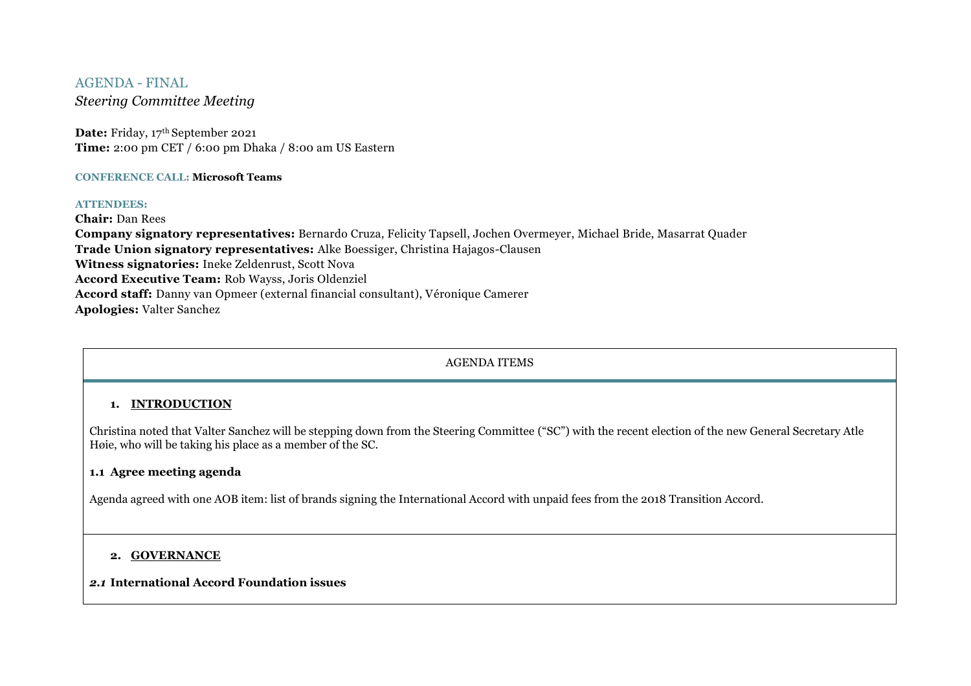## AGENDA - FINAL

*Steering Committee Meeting*

Date: Friday, 17<sup>th</sup> September 2021 **Time:** 2:00 pm CET / 6:00 pm Dhaka / 8:00 am US Eastern

#### **CONFERENCE CALL: Microsoft Teams**

#### **ATTENDEES:**

**Chair:** Dan Rees

**Company signatory representatives:** Bernardo Cruza, Felicity Tapsell, Jochen Overmeyer, Michael Bride, Masarrat Quader **Trade Union signatory representatives:** Alke Boessiger, Christina Hajagos-Clausen **Witness signatories:** Ineke Zeldenrust, Scott Nova **Accord Executive Team:** Rob Wayss, Joris Oldenziel **Accord staff:** Danny van Opmeer (external financial consultant), Véronique Camerer **Apologies:** Valter Sanchez

## AGENDA ITEMS

# **1. INTRODUCTION**

Christina noted that Valter Sanchez will be stepping down from the Steering Committee ("SC") with the recent election of the new General Secretary Atle Høie, who will be taking his place as a member of the SC.

### **1.1 Agree meeting agenda**

Agenda agreed with one AOB item: list of brands signing the International Accord with unpaid fees from the 2018 Transition Accord.

## **2. GOVERNANCE**

### *2.1* **International Accord Foundation issues**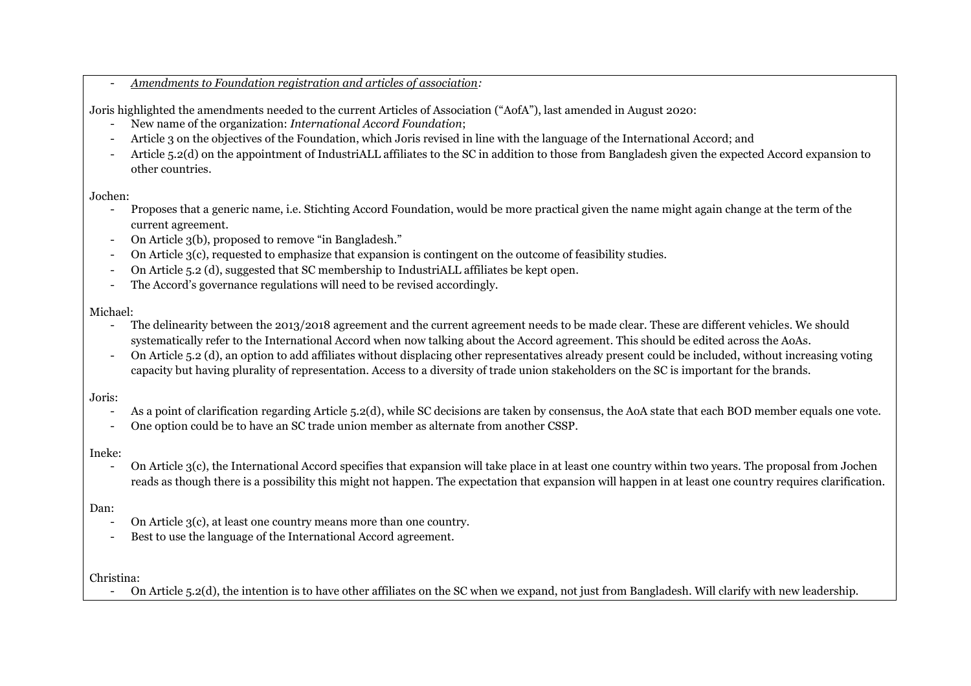- *Amendments to Foundation registration and articles of association:* 

Joris highlighted the amendments needed to the current Articles of Association ("AofA"), last amended in August 2020:

- New name of the organization: *International Accord Foundation*;
- Article 3 on the objectives of the Foundation, which Joris revised in line with the language of the International Accord; and
- Article 5.2(d) on the appointment of IndustriALL affiliates to the SC in addition to those from Bangladesh given the expected Accord expansion to other countries.

Jochen:

- Proposes that a generic name, i.e. Stichting Accord Foundation, would be more practical given the name might again change at the term of the current agreement.
- On Article 3(b), proposed to remove "in Bangladesh."
- On Article 3(c), requested to emphasize that expansion is contingent on the outcome of feasibility studies.
- On Article 5.2 (d), suggested that SC membership to IndustriALL affiliates be kept open.
- The Accord's governance regulations will need to be revised accordingly.

## Michael:

- The delinearity between the 2013/2018 agreement and the current agreement needs to be made clear. These are different vehicles. We should systematically refer to the International Accord when now talking about the Accord agreement. This should be edited across the AoAs.
- On Article 5.2 (d), an option to add affiliates without displacing other representatives already present could be included, without increasing voting capacity but having plurality of representation. Access to a diversity of trade union stakeholders on the SC is important for the brands.

Joris:

- As a point of clarification regarding Article 5.2(d), while SC decisions are taken by consensus, the AoA state that each BOD member equals one vote.
- One option could be to have an SC trade union member as alternate from another CSSP.

## Ineke:

- On Article 3(c), the International Accord specifies that expansion will take place in at least one country within two years. The proposal from Jochen reads as though there is a possibility this might not happen. The expectation that expansion will happen in at least one country requires clarification.

# Dan:

- On Article 3(c), at least one country means more than one country.
- Best to use the language of the International Accord agreement.

Christina:

- On Article 5.2(d), the intention is to have other affiliates on the SC when we expand, not just from Bangladesh. Will clarify with new leadership.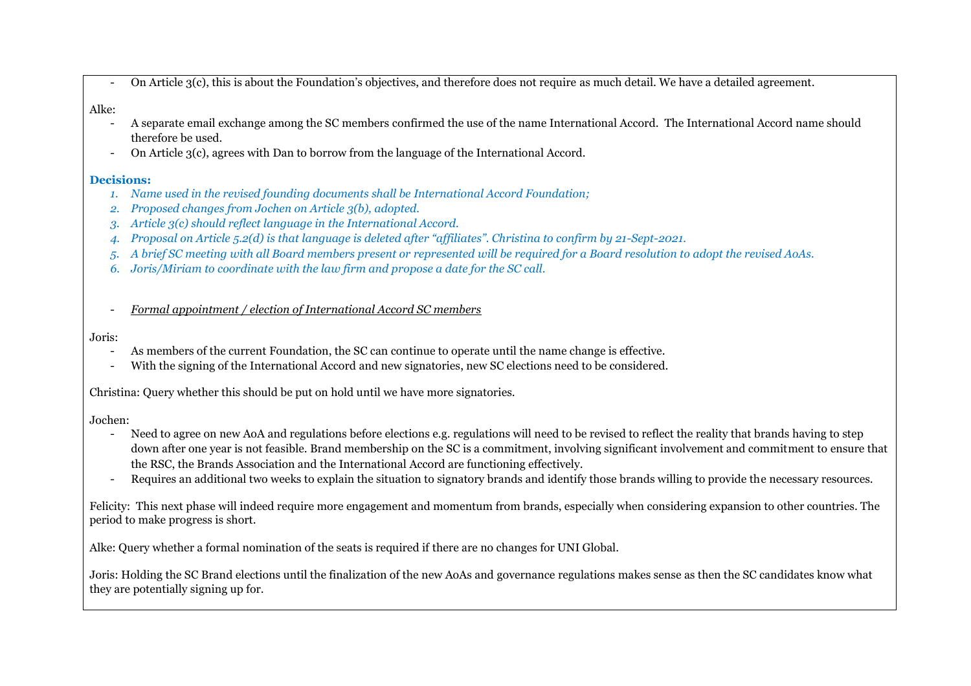- On Article 3(c), this is about the Foundation's objectives, and therefore does not require as much detail. We have a detailed agreement.

# Alke:

- A separate email exchange among the SC members confirmed the use of the name International Accord. The International Accord name should therefore be used.
- On Article 3(c), agrees with Dan to borrow from the language of the International Accord.

### **Decisions:**

- *1. Name used in the revised founding documents shall be International Accord Foundation;*
- *2. Proposed changes from Jochen on Article 3(b), adopted.*
- *3. Article 3(c) should reflect language in the International Accord.*
- *4. Proposal on Article 5.2(d) is that language is deleted after "affiliates". Christina to confirm by 21-Sept-2021.*
- *5. A brief SC meeting with all Board members present or represented will be required for a Board resolution to adopt the revised AoAs.*
- *6. Joris/Miriam to coordinate with the law firm and propose a date for the SC call.*
- *Formal appointment / election of International Accord SC members*

#### Joris:

- As members of the current Foundation, the SC can continue to operate until the name change is effective.
- With the signing of the International Accord and new signatories, new SC elections need to be considered.

Christina: Query whether this should be put on hold until we have more signatories.

Jochen:

- Need to agree on new AoA and regulations before elections e.g. regulations will need to be revised to reflect the reality that brands having to step down after one year is not feasible. Brand membership on the SC is a commitment, involving significant involvement and commitment to ensure that the RSC, the Brands Association and the International Accord are functioning effectively.
- Requires an additional two weeks to explain the situation to signatory brands and identify those brands willing to provide the necessary resources.

Felicity: This next phase will indeed require more engagement and momentum from brands, especially when considering expansion to other countries. The period to make progress is short.

Alke: Query whether a formal nomination of the seats is required if there are no changes for UNI Global.

Joris: Holding the SC Brand elections until the finalization of the new AoAs and governance regulations makes sense as then the SC candidates know what they are potentially signing up for.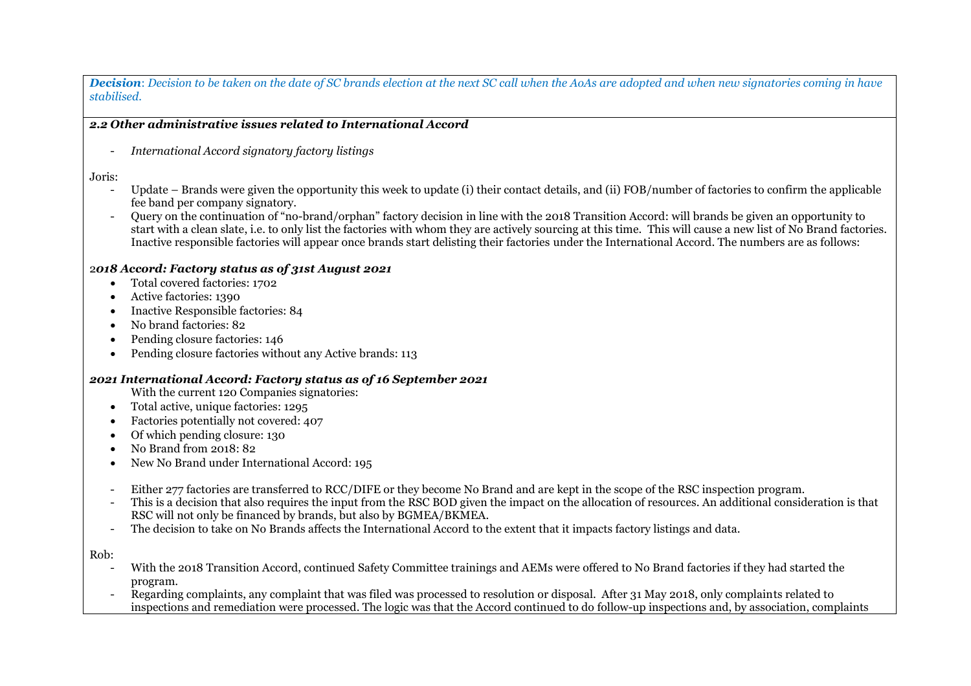*Decision*: *Decision to be taken on the date of SC brands election at the next SC call when the AoAs are adopted and when new signatories coming in have stabilised.* 

## *2.2 Other administrative issues related to International Accord*

- *International Accord signatory factory listings*

Joris:

- Update Brands were given the opportunity this week to update (i) their contact details, and (ii) FOB/number of factories to confirm the applicable fee band per company signatory.
- Query on the continuation of "no-brand/orphan" factory decision in line with the 2018 Transition Accord: will brands be given an opportunity to start with a clean slate, i.e. to only list the factories with whom they are actively sourcing at this time. This will cause a new list of No Brand factories. Inactive responsible factories will appear once brands start delisting their factories under the International Accord. The numbers are as follows:

### 2*018 Accord: Factory status as of 31st August 2021*

- Total covered factories: 1702
- Active factories: 1390
- Inactive Responsible factories: 84
- No brand factories: 82
- Pending closure factories: 146
- Pending closure factories without any Active brands: 113

### *2021 International Accord: Factory status as of 16 September 2021*

With the current 120 Companies signatories:

- Total active, unique factories: 1295
- Factories potentially not covered: 407
- Of which pending closure: 130
- No Brand from 2018: 82
- New No Brand under International Accord: 195
- Either 277 factories are transferred to RCC/DIFE or they become No Brand and are kept in the scope of the RSC inspection program.
- This is a decision that also requires the input from the RSC BOD given the impact on the allocation of resources. An additional consideration is that RSC will not only be financed by brands, but also by BGMEA/BKMEA.
- The decision to take on No Brands affects the International Accord to the extent that it impacts factory listings and data.

Rob:

- With the 2018 Transition Accord, continued Safety Committee trainings and AEMs were offered to No Brand factories if they had started the program.
- Regarding complaints, any complaint that was filed was processed to resolution or disposal. After 31 May 2018, only complaints related to inspections and remediation were processed. The logic was that the Accord continued to do follow-up inspections and, by association, complaints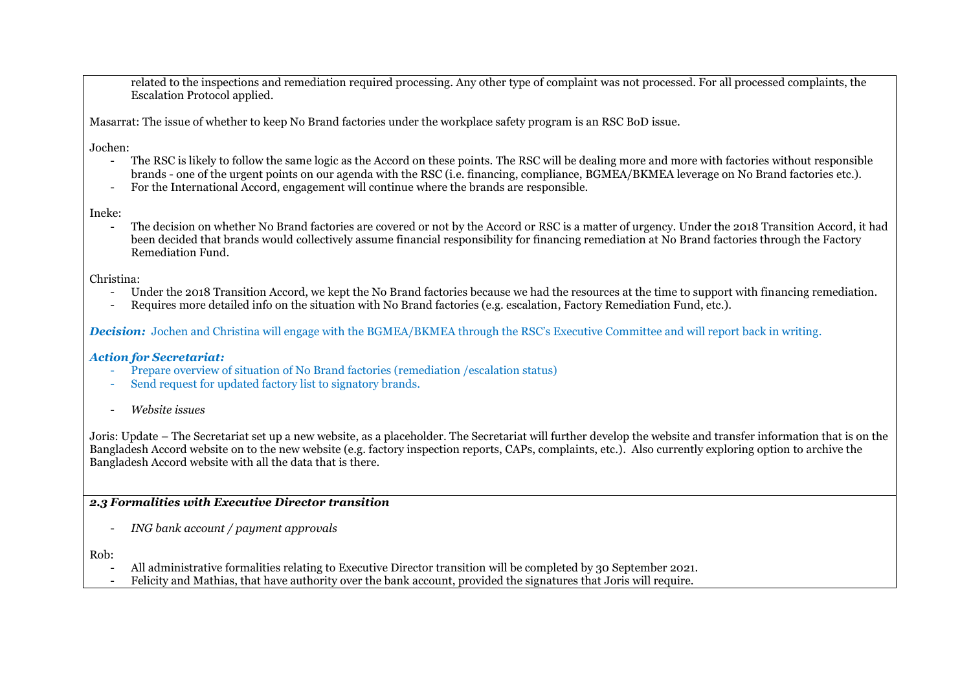related to the inspections and remediation required processing. Any other type of complaint was not processed. For all processed complaints, the Escalation Protocol applied.

Masarrat: The issue of whether to keep No Brand factories under the workplace safety program is an RSC BoD issue.

Jochen:

- The RSC is likely to follow the same logic as the Accord on these points. The RSC will be dealing more and more with factories without responsible brands - one of the urgent points on our agenda with the RSC (i.e. financing, compliance, BGMEA/BKMEA leverage on No Brand factories etc.).
- For the International Accord, engagement will continue where the brands are responsible.

Ineke:

- The decision on whether No Brand factories are covered or not by the Accord or RSC is a matter of urgency. Under the 2018 Transition Accord, it had been decided that brands would collectively assume financial responsibility for financing remediation at No Brand factories through the Factory Remediation Fund.

Christina:

- Under the 2018 Transition Accord, we kept the No Brand factories because we had the resources at the time to support with financing remediation.
- Requires more detailed info on the situation with No Brand factories (e.g. escalation, Factory Remediation Fund, etc.).

*Decision:* Jochen and Christina will engage with the BGMEA/BKMEA through the RSC's Executive Committee and will report back in writing.

## *Action for Secretariat:*

- Prepare overview of situation of No Brand factories (remediation /escalation status)
- Send request for updated factory list to signatory brands.
- *Website issues*

Joris: Update – The Secretariat set up a new website, as a placeholder. The Secretariat will further develop the website and transfer information that is on the Bangladesh Accord website on to the new website (e.g. factory inspection reports, CAPs, complaints, etc.). Also currently exploring option to archive the Bangladesh Accord website with all the data that is there.

## *2.3 Formalities with Executive Director transition*

- *ING bank account / payment approvals*

Rob:

- All administrative formalities relating to Executive Director transition will be completed by 30 September 2021.
- Felicity and Mathias, that have authority over the bank account, provided the signatures that Joris will require.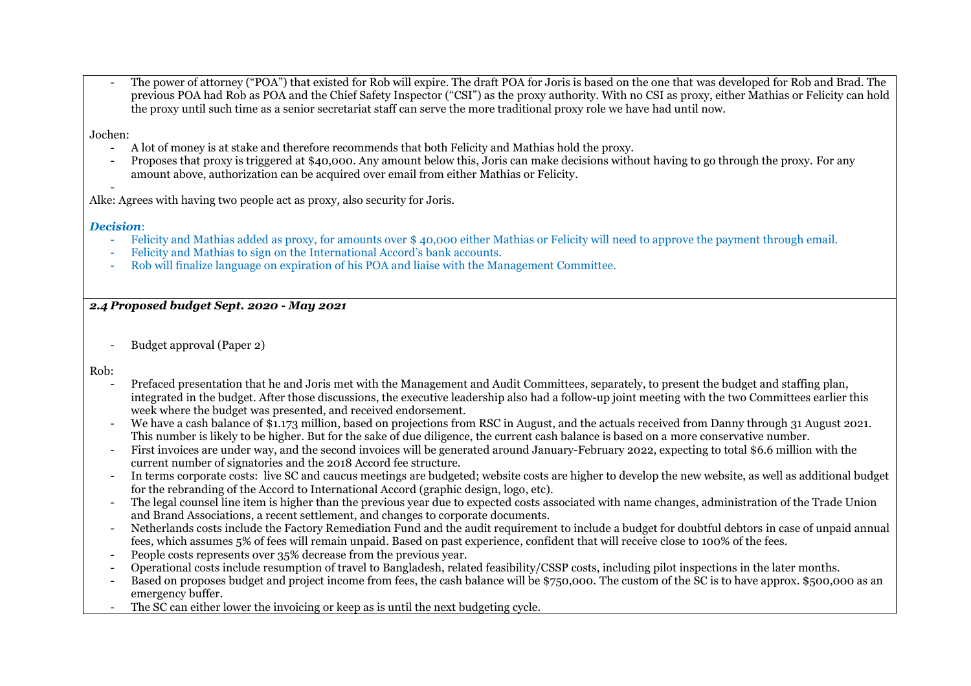The power of attorney ("POA") that existed for Rob will expire. The draft POA for Joris is based on the one that was developed for Rob and Brad. The previous POA had Rob as POA and the Chief Safety Inspector ("CSI") as the proxy authority. With no CSI as proxy, either Mathias or Felicity can hold the proxy until such time as a senior secretariat staff can serve the more traditional proxy role we have had until now.

Jochen:

- A lot of money is at stake and therefore recommends that both Felicity and Mathias hold the proxy.
- Proposes that proxy is triggered at \$40,000. Any amount below this, Joris can make decisions without having to go through the proxy. For any amount above, authorization can be acquired over email from either Mathias or Felicity.

- Alke: Agrees with having two people act as proxy, also security for Joris.

### *Decision*:

- Felicity and Mathias added as proxy, for amounts over \$ 40,000 either Mathias or Felicity will need to approve the payment through email.
- Felicity and Mathias to sign on the International Accord's bank accounts.
- Rob will finalize language on expiration of his POA and liaise with the Management Committee.

## *2.4 Proposed budget Sept. 2020 - May 2021*

- Budget approval (Paper 2)

Rob:

- Prefaced presentation that he and Joris met with the Management and Audit Committees, separately, to present the budget and staffing plan, integrated in the budget. After those discussions, the executive leadership also had a follow-up joint meeting with the two Committees earlier this week where the budget was presented, and received endorsement.
- We have a cash balance of \$1.173 million, based on projections from RSC in August, and the actuals received from Danny through 31 August 2021. This number is likely to be higher. But for the sake of due diligence, the current cash balance is based on a more conservative number.
- First invoices are under way, and the second invoices will be generated around January-February 2022, expecting to total \$6.6 million with the current number of signatories and the 2018 Accord fee structure.
- In terms corporate costs: live SC and caucus meetings are budgeted; website costs are higher to develop the new website, as well as additional budget for the rebranding of the Accord to International Accord (graphic design, logo, etc).
- The legal counsel line item is higher than the previous year due to expected costs associated with name changes, administration of the Trade Union and Brand Associations, a recent settlement, and changes to corporate documents.
- Netherlands costs include the Factory Remediation Fund and the audit requirement to include a budget for doubtful debtors in case of unpaid annual fees, which assumes 5% of fees will remain unpaid. Based on past experience, confident that will receive close to 100% of the fees.
- People costs represents over 35% decrease from the previous year.
- Operational costs include resumption of travel to Bangladesh, related feasibility/CSSP costs, including pilot inspections in the later months.
- Based on proposes budget and project income from fees, the cash balance will be \$750,000. The custom of the SC is to have approx. \$500,000 as an emergency buffer.
- The SC can either lower the invoicing or keep as is until the next budgeting cycle.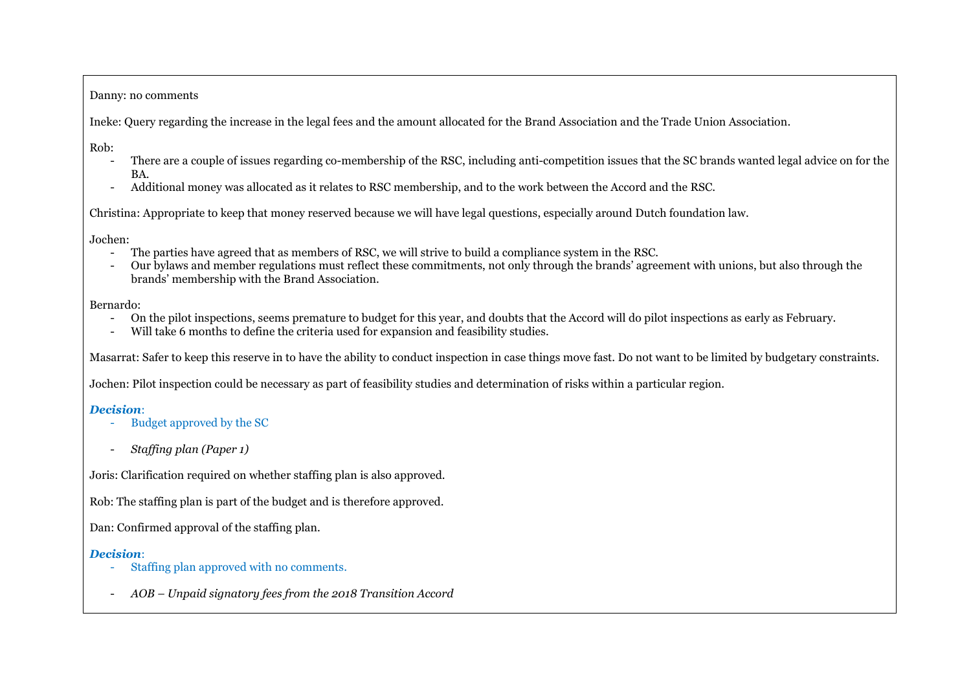#### Danny: no comments

Ineke: Query regarding the increase in the legal fees and the amount allocated for the Brand Association and the Trade Union Association.

Rob:

- There are a couple of issues regarding co-membership of the RSC, including anti-competition issues that the SC brands wanted legal advice on for the BA.
- Additional money was allocated as it relates to RSC membership, and to the work between the Accord and the RSC.

Christina: Appropriate to keep that money reserved because we will have legal questions, especially around Dutch foundation law.

Jochen:

- The parties have agreed that as members of RSC, we will strive to build a compliance system in the RSC.
- Our bylaws and member regulations must reflect these commitments, not only through the brands' agreement with unions, but also through the brands' membership with the Brand Association.

Bernardo:

- On the pilot inspections, seems premature to budget for this year, and doubts that the Accord will do pilot inspections as early as February.
- Will take 6 months to define the criteria used for expansion and feasibility studies.

Masarrat: Safer to keep this reserve in to have the ability to conduct inspection in case things move fast. Do not want to be limited by budgetary constraints.

Jochen: Pilot inspection could be necessary as part of feasibility studies and determination of risks within a particular region.

# *Decision*:

- Budget approved by the SC
- *Staffing plan (Paper 1)*

Joris: Clarification required on whether staffing plan is also approved.

Rob: The staffing plan is part of the budget and is therefore approved.

Dan: Confirmed approval of the staffing plan.

# *Decision*:

- Staffing plan approved with no comments.
- *AOB – Unpaid signatory fees from the 2018 Transition Accord*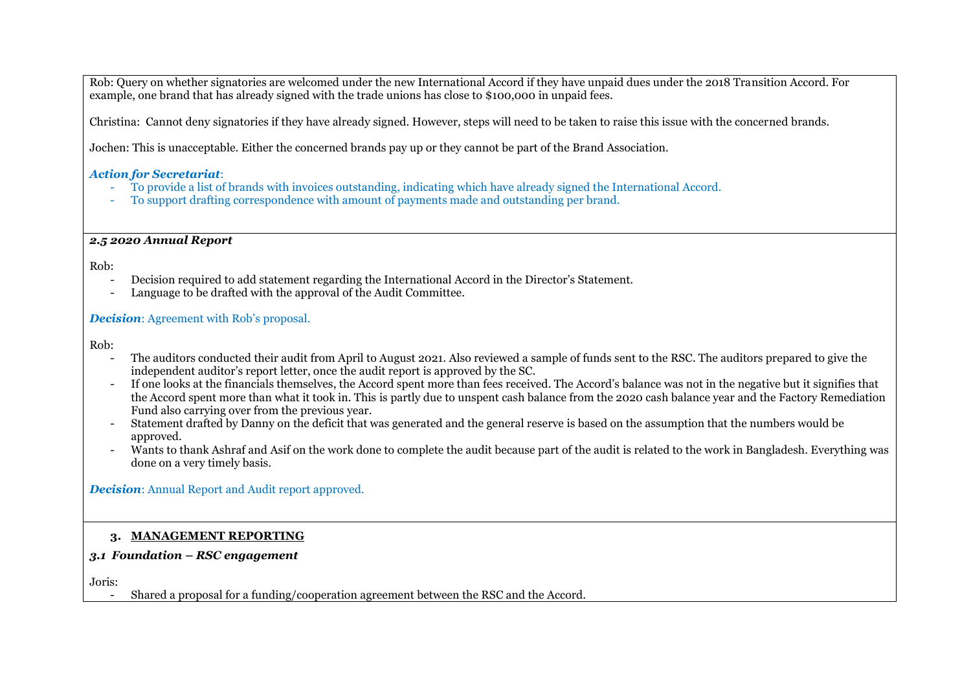Rob: Query on whether signatories are welcomed under the new International Accord if they have unpaid dues under the 2018 Transition Accord. For example, one brand that has already signed with the trade unions has close to \$100,000 in unpaid fees.

Christina: Cannot deny signatories if they have already signed. However, steps will need to be taken to raise this issue with the concerned brands.

Jochen: This is unacceptable. Either the concerned brands pay up or they cannot be part of the Brand Association.

#### *Action for Secretariat*:

- To provide a list of brands with invoices outstanding, indicating which have already signed the International Accord.
- To support drafting correspondence with amount of payments made and outstanding per brand.

### *2.5 2020 Annual Report*

Rob:

- Decision required to add statement regarding the International Accord in the Director's Statement.
- Language to be drafted with the approval of the Audit Committee.

### *Decision*: Agreement with Rob's proposal.

Rob:

- The auditors conducted their audit from April to August 2021. Also reviewed a sample of funds sent to the RSC. The auditors prepared to give the independent auditor's report letter, once the audit report is approved by the SC.
- If one looks at the financials themselves, the Accord spent more than fees received. The Accord's balance was not in the negative but it signifies that the Accord spent more than what it took in. This is partly due to unspent cash balance from the 2020 cash balance year and the Factory Remediation Fund also carrying over from the previous year.
- Statement drafted by Danny on the deficit that was generated and the general reserve is based on the assumption that the numbers would be approved.
- Wants to thank Ashraf and Asif on the work done to complete the audit because part of the audit is related to the work in Bangladesh. Everything was done on a very timely basis.

*Decision*: Annual Report and Audit report approved.

### **3. MANAGEMENT REPORTING**

# *3.1 Foundation – RSC engagement*

Joris:

- Shared a proposal for a funding/cooperation agreement between the RSC and the Accord.